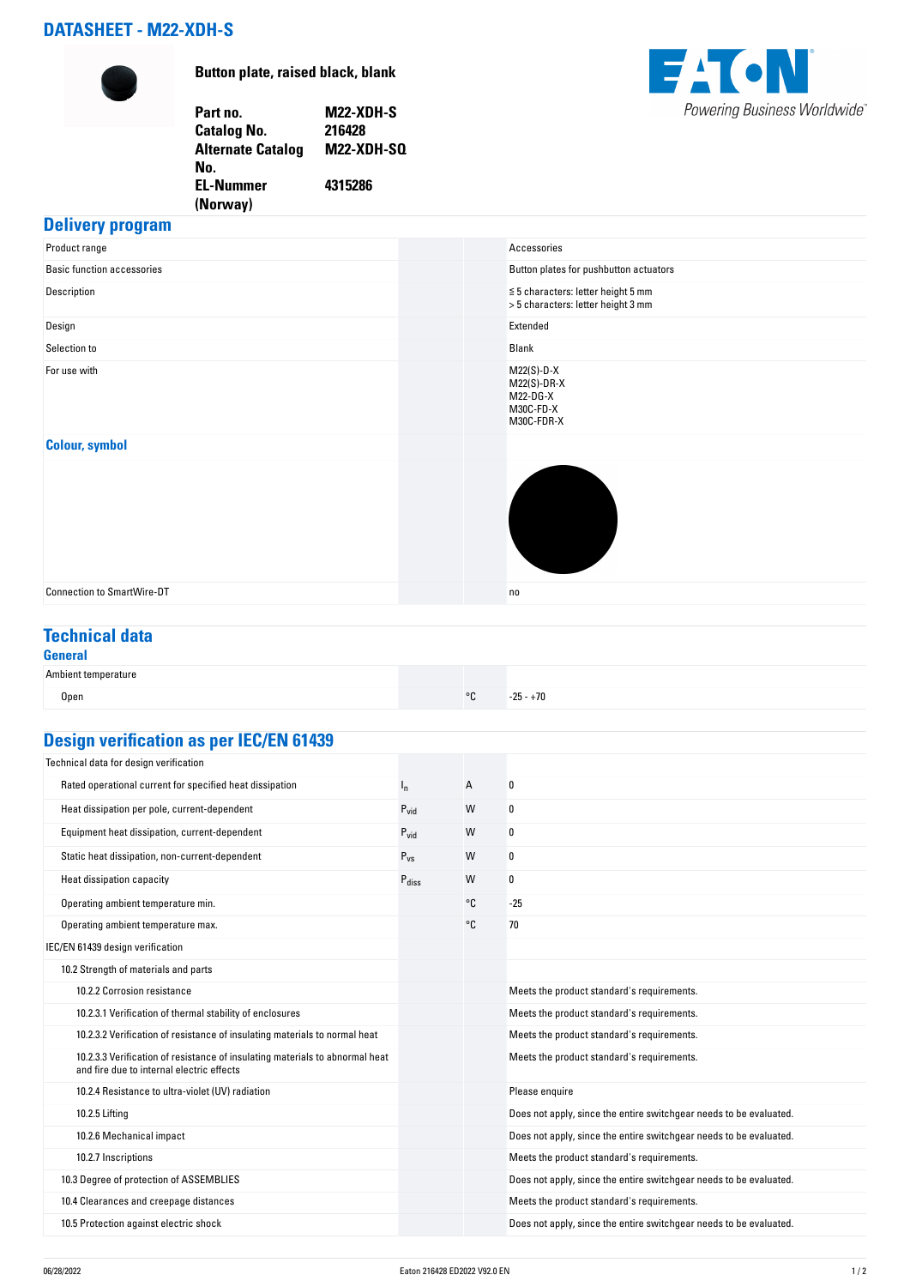# **DATASHEET - M22-XDH-S**



**Button plate, raised black, blank**

**Part no. M22-XDH-S Catalog No. Alternate Catalog No. M22-XDH-SQ EL-Nummer (Norway) 4315286**



# **Delivery program**

| Product range                     | Accessories                                                                   |
|-----------------------------------|-------------------------------------------------------------------------------|
| <b>Basic function accessories</b> | Button plates for pushbutton actuators                                        |
| Description                       | $\leq 5$ characters: letter height 5 mm<br>> 5 characters: letter height 3 mm |
| Design                            | Extended                                                                      |
| Selection to                      | Blank                                                                         |
| For use with                      | $M22(S)-D-X$<br>$M22(S)-DR-X$<br>M22-DG-X<br>M30C-FD-X<br>M30C-FDR-X          |
| <b>Colour, symbol</b>             |                                                                               |
|                                   |                                                                               |
| <b>Connection to SmartWire-DT</b> | no                                                                            |

# **Technical data**

### **General**

| Ambient temperature |         |             |
|---------------------|---------|-------------|
| Open                | $\circ$ | $-25 - +70$ |

# **Design verification as per IEC/EN 61439**

| Technical data for design verification                                                                                    |                   |    |                                                                    |
|---------------------------------------------------------------------------------------------------------------------------|-------------------|----|--------------------------------------------------------------------|
| Rated operational current for specified heat dissipation                                                                  | $I_{n}$           | A  | 0                                                                  |
| Heat dissipation per pole, current-dependent                                                                              | $P_{\text{vid}}$  | W  | 0                                                                  |
| Equipment heat dissipation, current-dependent                                                                             | $P_{\text{vid}}$  | W  | 0                                                                  |
| Static heat dissipation, non-current-dependent                                                                            | $P_{VS}$          | W  | 0                                                                  |
| Heat dissipation capacity                                                                                                 | $P_{\text{diss}}$ | W  | 0                                                                  |
| Operating ambient temperature min.                                                                                        |                   | °C | $-25$                                                              |
| Operating ambient temperature max.                                                                                        |                   | °C | 70                                                                 |
| IEC/EN 61439 design verification                                                                                          |                   |    |                                                                    |
| 10.2 Strength of materials and parts                                                                                      |                   |    |                                                                    |
| 10.2.2 Corrosion resistance                                                                                               |                   |    | Meets the product standard's requirements.                         |
| 10.2.3.1 Verification of thermal stability of enclosures                                                                  |                   |    | Meets the product standard's requirements.                         |
| 10.2.3.2 Verification of resistance of insulating materials to normal heat                                                |                   |    | Meets the product standard's requirements.                         |
| 10.2.3.3 Verification of resistance of insulating materials to abnormal heat<br>and fire due to internal electric effects |                   |    | Meets the product standard's requirements.                         |
| 10.2.4 Resistance to ultra-violet (UV) radiation                                                                          |                   |    | Please enquire                                                     |
| 10.2.5 Lifting                                                                                                            |                   |    | Does not apply, since the entire switchgear needs to be evaluated. |
| 10.2.6 Mechanical impact                                                                                                  |                   |    | Does not apply, since the entire switchgear needs to be evaluated. |
| 10.2.7 Inscriptions                                                                                                       |                   |    | Meets the product standard's requirements.                         |
| 10.3 Degree of protection of ASSEMBLIES                                                                                   |                   |    | Does not apply, since the entire switchgear needs to be evaluated. |
| 10.4 Clearances and creepage distances                                                                                    |                   |    | Meets the product standard's requirements.                         |
| 10.5 Protection against electric shock                                                                                    |                   |    | Does not apply, since the entire switchgear needs to be evaluated. |
|                                                                                                                           |                   |    |                                                                    |